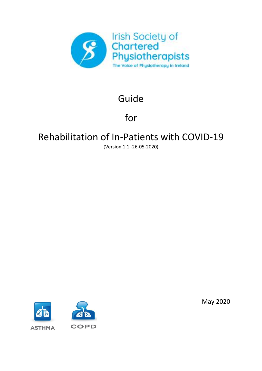

# Guide

# for

# Rehabilitation of In-Patients with COVID-19

(Version 1.1 -26-05-2020)



May 2020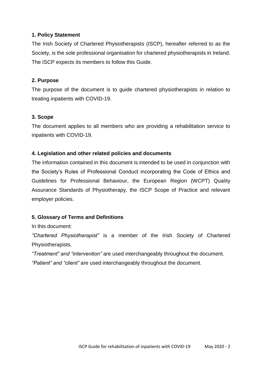### **1. Policy Statement**

The Irish Society of Chartered Physiotherapists (ISCP), hereafter referred to as the Society, is the sole professional organisation for chartered physiotherapists in Ireland. The ISCP expects its members to follow this Guide.

#### **2. Purpose**

The purpose of the document is to guide chartered physiotherapists in relation to treating inpatients with COVID-19.

#### **3. Scope**

The document applies to all members who are providing a rehabilitation service to inpatients with COVID-19.

#### **4. Legislation and other related policies and documents**

The information contained in this document is intended to be used in conjunction with the Society's Rules of Professional Conduct incorporating the Code of Ethics and Guidelines for Professional Behaviour, the European Region (WCPT) Quality Assurance Standards of Physiotherapy, the ISCP Scope of Practice and relevant employer policies.

#### **5. Glossary of Terms and Definitions**

In this document:

*"Chartered Physiotherapist"* is a member of the Irish Society of Chartered Physiotherapists.

*"Treatment" and "intervention"* are used interchangeably throughout the document. *"Patient" and "client"* are used interchangeably throughout the document.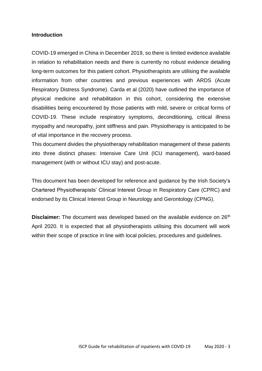#### **Introduction**

COVID-19 emerged in China in December 2019, so there is limited evidence available in relation to rehabilitation needs and there is currently no robust evidence detailing long-term outcomes for this patient cohort. Physiotherapists are utilising the available information from other countries and previous experiences with ARDS (Acute Respiratory Distress Syndrome). Carda et al (2020) have outlined the importance of physical medicine and rehabilitation in this cohort, considering the extensive disabilities being encountered by those patients with mild, severe or critical forms of COVID-19. These include respiratory symptoms, deconditioning, critical illness myopathy and neuropathy, joint stiffness and pain. Physiotherapy is anticipated to be of vital importance in the recovery process.

This document divides the physiotherapy rehabilitation management of these patients into three distinct phases: Intensive Care Unit (ICU management), ward-based management (with or without ICU stay) and post-acute.

This document has been developed for reference and guidance by the Irish Society's Chartered Physiotherapists' Clinical Interest Group in Respiratory Care (CPRC) and endorsed by its Clinical Interest Group in Neurology and Gerontology (CPNG).

**Disclaimer:** The document was developed based on the available evidence on 26<sup>th</sup> April 2020. It is expected that all physiotherapists utilising this document will work within their scope of practice in line with local policies, procedures and guidelines.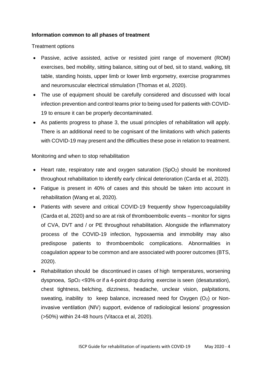### **Information common to all phases of treatment**

#### Treatment options

- Passive, active assisted, active or resisted joint range of movement (ROM) exercises, bed mobility, sitting balance, sitting out of bed, sit to stand, walking, tilt table, standing hoists, upper limb or lower limb ergometry, exercise programmes and neuromuscular electrical stimulation (Thomas et al, 2020).
- The use of equipment should be carefully considered and discussed with local infection prevention and control teams prior to being used for patients with COVID-19 to ensure it can be properly decontaminated.
- As patients progress to phase 3, the usual principles of rehabilitation will apply. There is an additional need to be cognisant of the limitations with which patients with COVID-19 may present and the difficulties these pose in relation to treatment.

### Monitoring and when to stop rehabilitation

- Heart rate, respiratory rate and oxygen saturation (SpO<sub>2</sub>) should be monitored throughout rehabilitation to identify early clinical deterioration (Carda et al, 2020).
- Fatigue is present in 40% of cases and this should be taken into account in rehabilitation (Wang et al, 2020).
- Patients with severe and critical COVID-19 frequently show hypercoagulability (Carda et al, 2020) and so are at risk of thromboembolic events – monitor for signs of CVA, DVT and / or PE throughout rehabilitation. Alongside the inflammatory process of the COVID-19 infection, hypoxaemia and immobility may also predispose patients to thromboembolic complications. Abnormalities in coagulation appear to be common and are associated with poorer outcomes (BTS, 2020).
- Rehabilitation should be discontinued in cases of high temperatures, worsening dyspnoea, SpO<sup>2</sup> <93% or if a 4-point drop during exercise is seen (desaturation), chest tightness, belching, dizziness, headache, unclear vision, palpitations, sweating, inability to keep balance, increased need for Oxygen  $(O_2)$  or Noninvasive ventilation (NIV) support, evidence of radiological lesions' progression (>50%) within 24-48 hours (Vitacca et al, 2020).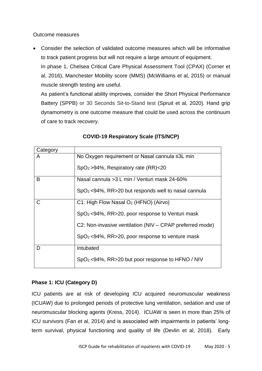Outcome measures

 Consider the selection of validated outcome measures which will be informative to track patient progress but will not require a large amount of equipment. In phase 1, Chelsea Critical Care Physical Assessment Tool (CPAX) (Corner et

al, 2016), Manchester Mobility score (MMS) (McWilliams et al, 2015) or manual muscle strength testing are useful.

As patient's functional ability improves, consider the Short Physical Performance Battery (SPPB) or 30 Seconds Sit-to-Stand test (Spruit et al, 2020). Hand grip dynamometry is one outcome measure that could be used across the continuum of care to track recovery.

| Category |                                                             |
|----------|-------------------------------------------------------------|
| A        | No Oxygen requirement or Nasal cannula ≤3L min              |
|          | $SpO2 > 94$ %, Respiratory rate (RR)<20                     |
| B        | Nasal cannula > 3 L min / Venturi mask 24-60%               |
|          | $SpO2 < 94\%$ , RR>20 but responds well to nasal cannula    |
| C        | C1: High Flow Nasal O <sub>2</sub> (HFNO) (Airvo)           |
|          | SpO <sub>2</sub> <94%, RR>20, poor response to Venturi mask |
|          | C2: Non-invasive ventilation (NIV – CPAP preferred mode)    |
|          | $SpO2 < 94\%$ , RR>20, poor response to venture mask        |
| D        | Intubated                                                   |
|          | $SpO2 < 94\%$ , RR>20 but poor response to HFNO / NIV       |

# **COVID-19 Respiratory Scale (ITS/NCP)**

## **Phase 1: ICU (Category D)**

ICU patients are at risk of developing ICU acquired neuromuscular weakness (ICUAW) due to prolonged periods of protective lung ventilation, sedation and use of neuromuscular blocking agents (Kress, 2014). ICUAW is seen in more than 25% of ICU survivors (Fan et al, 2014) and is associated with impairments in patients' longterm survival, physical functioning and quality of life (Devlin et al, 2018). Early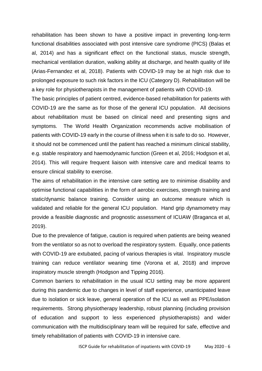rehabilitation has been shown to have a positive impact in preventing long-term functional disabilities associated with post intensive care syndrome (PICS) (Balas et al, 2014) and has a significant effect on the functional status, muscle strength, mechanical ventilation duration, walking ability at discharge, and health quality of life (Arias-Fernandez et al, 2018). Patients with COVID-19 may be at high risk due to prolonged exposure to such risk factors in the ICU (Category D). Rehabilitation will be a key role for physiotherapists in the management of patients with COVID-19.

The basic principles of patient centred, evidence-based rehabilitation for patients with COVID-19 are the same as for those of the general ICU population. All decisions about rehabilitation must be based on clinical need and presenting signs and symptoms. The World Health Organization recommends active mobilisation of patients with COVID-19 early in the course of illness when it is safe to do so. However, it should not be commenced until the patient has reached a minimum clinical stability, e.g. stable respiratory and haemodynamic function (Green et al, 2016; Hodgson et al, 2014). This will require frequent liaison with intensive care and medical teams to ensure clinical stability to exercise.

The aims of rehabilitation in the intensive care setting are to minimise disability and optimise functional capabilities in the form of aerobic exercises, strength training and static/dynamic balance training. Consider using an outcome measure which is validated and reliable for the general ICU population. Hand grip dynamometry may provide a feasible diagnostic and prognostic assessment of ICUAW (Braganca et al, 2019).

Due to the prevalence of fatigue, caution is required when patients are being weaned from the ventilator so as not to overload the respiratory system. Equally, once patients with COVID-19 are extubated, pacing of various therapies is vital. Inspiratory muscle training can reduce ventilator weaning time (Vorona et al, 2018) and improve inspiratory muscle strength (Hodgson and Tipping 2016).

Common barriers to rehabilitation in the usual ICU setting may be more apparent during this pandemic due to changes in level of staff experience, unanticipated leave due to isolation or sick leave, general operation of the ICU as well as PPE/isolation requirements. Strong physiotherapy leadership, robust planning (including provision of education and support to less experienced physiotherapists) and wider communication with the multidisciplinary team will be required for safe, effective and timely rehabilitation of patients with COVID-19 in intensive care.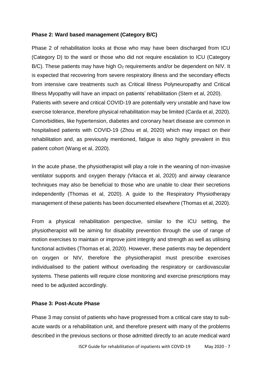#### **Phase 2: Ward based management (Category B/C)**

Phase 2 of rehabilitation looks at those who may have been discharged from ICU (Category D) to the ward or those who did not require escalation to ICU (Category  $B/C$ ). These patients may have high  $O<sub>2</sub>$  requirements and/or be dependent on NIV. It is expected that recovering from severe respiratory illness and the secondary effects from intensive care treatments such as Critical Illness Polyneuropathy and Critical Illness Myopathy will have an impact on patients' rehabilitation (Stem et al, 2020). Patients with severe and critical COVID-19 are potentially very unstable and have low exercise tolerance, therefore physical rehabilitation may be limited (Carda et al, 2020). Comorbidities, like hypertension, diabetes and coronary heart disease are common in hospitalised patients with COVID-19 (Zhou et al, 2020) which may impact on their rehabilitation and, as previously mentioned, fatigue is also highly prevalent in this patient cohort (Wang et al, 2020).

In the acute phase, the physiotherapist will play a role in the weaning of non-invasive ventilator supports and oxygen therapy (Vitacca et al, 2020) and airway clearance techniques may also be beneficial to those who are unable to clear their secretions independently (Thomas et al, 2020). A guide to the Respiratory Physiotherapy management of these patients has been documented elsewhere (Thomas et al, 2020).

From a physical rehabilitation perspective, similar to the ICU setting, the physiotherapist will be aiming for disability prevention through the use of range of motion exercises to maintain or improve joint integrity and strength as well as utilising functional activities (Thomas et al, 2020). However, these patients may be dependent on oxygen or NIV, therefore the physiotherapist must prescribe exercises individualised to the patient without overloading the respiratory or cardiovascular systems. These patients will require close monitoring and exercise prescriptions may need to be adjusted accordingly.

#### **Phase 3: Post-Acute Phase**

Phase 3 may consist of patients who have progressed from a critical care stay to subacute wards or a rehabilitation unit, and therefore present with many of the problems described in the previous sections or those admitted directly to an acute medical ward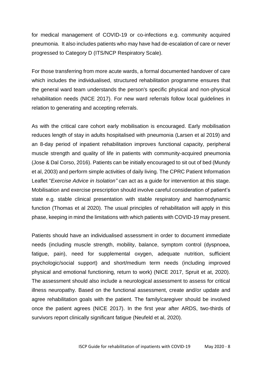for medical management of COVID-19 or co-infections e.g. community acquired pneumonia. It also includes patients who may have had de-escalation of care or never progressed to Category D (ITS/NCP Respiratory Scale).

For those transferring from more acute wards, a formal documented handover of care which includes the individualised, structured rehabilitation programme ensures that the general ward team understands the person's specific physical and non-physical rehabilitation needs (NICE 2017). For new ward referrals follow local guidelines in relation to generating and accepting referrals.

As with the critical care cohort early mobilisation is encouraged. Early mobilisation reduces length of stay in adults hospitalised with pneumonia (Larsen et al 2019) and an 8-day period of inpatient rehabilitation improves functional capacity, peripheral muscle strength and quality of life in patients with community-acquired pneumonia (Jose & Dal Corso, 2016). Patients can be initially encouraged to sit out of bed (Mundy et al, 2003) and perform simple activities of daily living. The CPRC Patient Information Leaflet "*Exercise Advice in Isolation"* can act as a guide for intervention at this stage. Mobilisation and exercise prescription should involve careful consideration of patient's state e.g. stable clinical presentation with stable respiratory and haemodynamic function (Thomas et al 2020). The usual principles of rehabilitation will apply in this phase, keeping in mind the limitations with which patients with COVID-19 may present.

Patients should have an individualised assessment in order to document immediate needs (including muscle strength, mobility, balance, symptom control (dyspnoea, fatigue, pain), need for supplemental oxygen, adequate nutrition, sufficient psychologic/social support) and short/medium term needs (including improved physical and emotional functioning, return to work) (NICE 2017, Spruit et at, 2020). The assessment should also include a neurological assessment to assess for critical illness neuropathy. Based on the functional assessment, create and/or update and agree rehabilitation goals with the patient. The family/caregiver should be involved once the patient agrees (NICE 2017). In the first year after ARDS, two-thirds of survivors report clinically significant fatigue (Neufeld et al, 2020).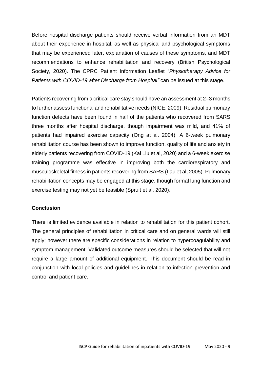Before hospital discharge patients should receive verbal information from an MDT about their experience in hospital, as well as physical and psychological symptoms that may be experienced later, explanation of causes of these symptoms, and MDT recommendations to enhance rehabilitation and recovery (British Psychological Society, 2020). The CPRC Patient Information Leaflet "*Physiotherapy Advice for Patients with COVID-19 after Discharge from Hospital"* can be issued at this stage.

Patients recovering from a critical care stay should have an assessment at 2–3 months to further assess functional and rehabilitative needs (NICE, 2009). Residual pulmonary function defects have been found in half of the patients who recovered from SARS three months after hospital discharge, though impairment was mild, and 41% of patients had impaired exercise capacity (Ong at al. 2004). A 6-week pulmonary rehabilitation course has been shown to improve function, quality of life and anxiety in elderly patients recovering from COVID-19 (Kai Liu et al, 2020) and a 6-week exercise training programme was effective in improving both the cardiorespiratory and musculoskeletal fitness in patients recovering from SARS (Lau et al, 2005). Pulmonary rehabilitation concepts may be engaged at this stage, though formal lung function and exercise testing may not yet be feasible (Spruit et al, 2020).

### **Conclusion**

There is limited evidence available in relation to rehabilitation for this patient cohort. The general principles of rehabilitation in critical care and on general wards will still apply; however there are specific considerations in relation to hypercoagulability and symptom management. Validated outcome measures should be selected that will not require a large amount of additional equipment. This document should be read in conjunction with local policies and guidelines in relation to infection prevention and control and patient care.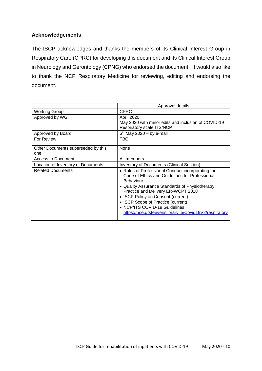## **Acknowledgements**

The ISCP acknowledges and thanks the members of its Clinical Interest Group in Respiratory Care (CPRC) for developing this document and its Clinical Interest Group in Neurology and Gerontology (CPNG) who endorsed the document. It would also like to thank the NCP Respiratory Medicine for reviewing, editing and endorsing the document.

|                                           | Approval details                                                                                                                                                                                                                                                                                                                                                                       |
|-------------------------------------------|----------------------------------------------------------------------------------------------------------------------------------------------------------------------------------------------------------------------------------------------------------------------------------------------------------------------------------------------------------------------------------------|
| <b>Working Group</b>                      | <b>CPRC</b>                                                                                                                                                                                                                                                                                                                                                                            |
| Approved by WG                            | April 2020,<br>May 2020 with minor edits and inclusion of COVID-19<br>Respiratory scale ITS/NCP                                                                                                                                                                                                                                                                                        |
| Approved by Board                         | $6th$ May 2020 – by e-mail                                                                                                                                                                                                                                                                                                                                                             |
| For Review                                | TBC                                                                                                                                                                                                                                                                                                                                                                                    |
| Other Documents superseded by this<br>one | None                                                                                                                                                                                                                                                                                                                                                                                   |
| Access to Document                        | All members                                                                                                                                                                                                                                                                                                                                                                            |
| Location of Inventory of Documents        | Inventory of Documents (Clinical Section)                                                                                                                                                                                                                                                                                                                                              |
| <b>Related Documents</b>                  | • Rules of Professional Conduct incorporating the<br>Code of Ethics and Guidelines for Professional<br><b>Behaviour</b><br>• Quality Assurance Standards of Physiotherapy<br>Practice and Delivery ER-WCPT 2018<br>• ISCP Policy on Consent (current)<br>• ISCP Scope of Practice (current)<br>• NCP/ITS COVID-19 Guidelines<br>https://hse.drsteevenslibrary.ie/Covid19V2/respiratory |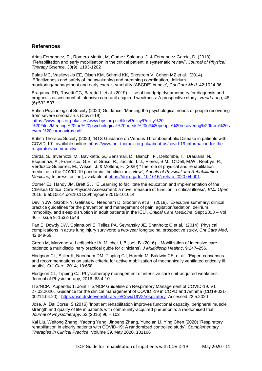#### **References**

Arias-Fernandez, P., Romero-Martin, M, Gomez-Salgado. J. & Fernandez-Garcia, D. (2018) "Rehabilitation and early mobilisation in the critical patient: a systematic review", *Journal of Physical Therapy Science*, 30(9), 1193-1202

Balas MC, Vasilevskis EE, Olsen KM, Schmid KK, Shostrom V, Cohen MZ et al. (2014). 'Effectiveness and safety of the awakening and breathing coordination, delirium monitoring/management and early exercise/mobility (ABCDE) bundle', *Crit Care Med,* 42:1024-36

Braganca RD, Ravetti CG, Baretto L et al. (2019). 'Use of handgrip dynamometry for diagnosis and prognosis assessment of intensive care unit acquired weakness: A prospective study', *Heart Lung,* 48 (6):532-537

British Psychological Society (2020) Guidance: 'Meeting the psychological needs of people recovering from severe coronavirus (Covid-19)

['https://www.bps.org.uk/sites/www.bps.org.uk/files/Policy/Policy%20-](https://www.bps.org.uk/sites/www.bps.org.uk/files/Policy/Policy%20-%20Files/Meeting%20the%20psychological%20needs%20of%20people%20recovering%20from%20severe%20coronavirus.pdf) [%20Files/Meeting%20the%20psychological%20needs%20of%20people%20recovering%20from%20s](https://www.bps.org.uk/sites/www.bps.org.uk/files/Policy/Policy%20-%20Files/Meeting%20the%20psychological%20needs%20of%20people%20recovering%20from%20severe%20coronavirus.pdf) [evere%20coronavirus.pdf](https://www.bps.org.uk/sites/www.bps.org.uk/files/Policy/Policy%20-%20Files/Meeting%20the%20psychological%20needs%20of%20people%20recovering%20from%20severe%20coronavirus.pdf)

British Thoracic Society (2020) "BTS Guidance on Venous Thromboembolic Disease in patients with COVID-19", available online: [https://www.brit-thoracic.org.uk/about-us/covid-19-information-for-the](https://www.brit-thoracic.org.uk/about-us/covid-19-information-for-the-respiratory-community/)[respiratory-community/](https://www.brit-thoracic.org.uk/about-us/covid-19-information-for-the-respiratory-community/) 

Carda, S., Invernizzi, M., Bavikatte, G., Bensmail, D., Bianchi, F., Deltombe, T., Draulans, N., Esquenazi, A., Francisco, G.E., el Gross, R., Jacinto, L.J., P'erez, S.M., O'Dell, M.W., Reebye, R., Verduzco-Gutierrez, M., Wissel, J. & Molteni, F. (2020) "The role of physical and rehabilitation medicine in the COVID-19 pandemic: the clinician's view", *Annals of Physical and Rehabilitation Medicine,* In press [online], available at [https://doi.org/doi:10.1016/j.rehab.2020.04.001.](https://doi.org/doi:10.1016/j.rehab.2020.04.001)

Corner EJ, Handy JM, Brett SJ. 'E Learning to facilitate the education and implementation of the Chelsea Critical Care Physical Assessment: a novel measure of function in critical illness', *BMJ Open* 2016; 6:e010614.doi:10.1136/bmjopen-2015-101614

Devlin JW, Skrobik Y, Gelinas C, Needham D, Slooter A et al. (2018). 'Executive summary: clinical practice guidelines for the prevention and management of pain, agitation/sedation, delirium, immobility, and sleep disruption in adult patients in the ICU', *Critical Care Medicine*, Sept 2018 – Vol 46 – Issue 9; 1532-1548

Fan E, Dowdy DW, Colantuoni E, Tellez PA, Sevransky JE, Shanholtz C et al. (2014). Physical complications in acute lung injury survivors: a two-year longitudinal prospective study, *Crit Care Med*, 42:849-59

Green M, Marzano V, Leditschke IA, Mitchell I, Bissett B. (2016). 'Mobilization of intensive care patients: a multidisciplinary practical guide for clinicians', *J Multidiscip Healthc*, 9:247–256.

Hodgson CL, Stiller K, Needham DM, Tipping CJ, Harrold M, Baldwin CE, et al. 'Expert consensus and recommendations on safety criteria for active mobilization of mechanically ventilated critically ill adults'*, Crit Care*, 2014; 18:658

Hodgson CL, Tipping CJ. Physiotherapy management of intensive care unit-acquired weakness. Journal of Physiotherapy, 2016; 63:4-10.

ITS/NCP. Appendix 1: Joint ITS/NCP Guideline on Respiratory Management of COVID-19. V1 27.03.2020. [Guidance for the clinical management of](https://hse.drsteevenslibrary.ie/Covid19V2/respiratory#start 021 guidance) COVID -19 in COPD and Asthma (CD19-021- [00214.04.20\)](https://hse.drsteevenslibrary.ie/Covid19V2/respiratory#start 021 guidance). <https://hse.drsteevenslibrary.ie/Covid19V2/respiratory> Accessed 22.5.2020

José, A, Dal Corse, S (2016) 'Inpatient rehabilitation improves functional capacity, peripheral muscle strength and quality of life in patients with community-acquired pneumonia: a randomised trial'. *Journal of Physiotherapy.* 62 (2016) 96 – 102

Kai Liu, Weitong Zhang, Yadong Yang, Jinpeng Zhang, Yunqian Li, Ying Chen (2020) 'Respiratory rehabilitation in elderly patients with COVID-19: A randomized controlled study', *Complementary Therapies in Clinical Practice*, Volume 39, May 2020, 101166